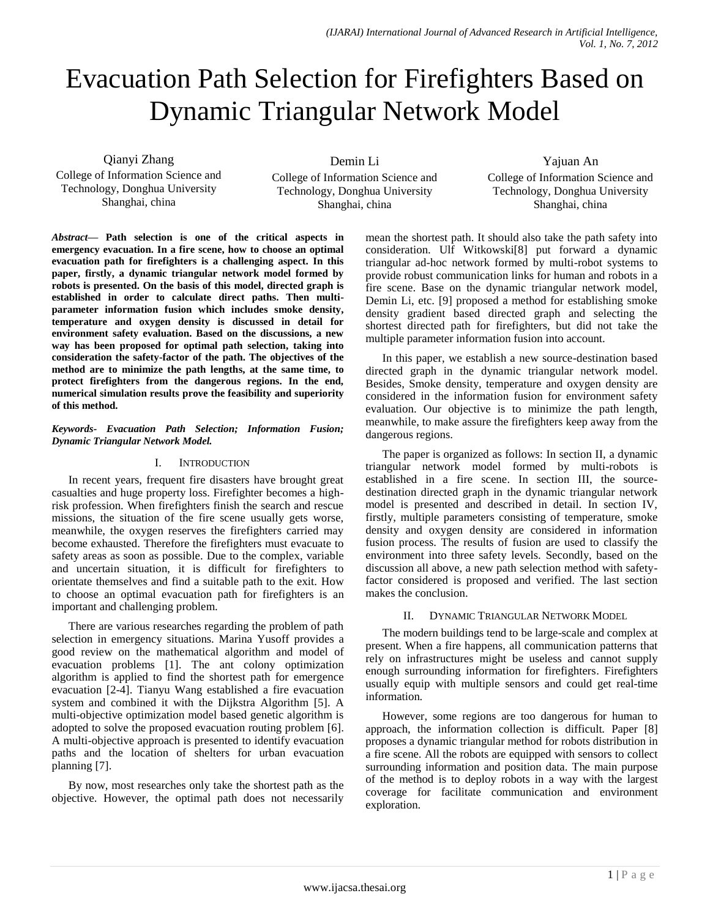# Evacuation Path Selection for Firefighters Based on Dynamic Triangular Network Model

Qianyi Zhang

College of Information Science and Technology, Donghua University Shanghai, china

Demin Li College of Information Science and Technology, Donghua University Shanghai, china

Yajuan An College of Information Science and Technology, Donghua University Shanghai, china

*Abstract***— Path selection is one of the critical aspects in emergency evacuation. In a fire scene, how to choose an optimal evacuation path for firefighters is a challenging aspect. In this paper, firstly, a dynamic triangular network model formed by robots is presented. On the basis of this model, directed graph is established in order to calculate direct paths. Then multiparameter information fusion which includes smoke density, temperature and oxygen density is discussed in detail for environment safety evaluation. Based on the discussions, a new way has been proposed for optimal path selection, taking into consideration the safety-factor of the path. The objectives of the method are to minimize the path lengths, at the same time, to protect firefighters from the dangerous regions. In the end, numerical simulation results prove the feasibility and superiority of this method.**

#### *Keywords- Evacuation Path Selection; Information Fusion; Dynamic Triangular Network Model.*

## I. INTRODUCTION

In recent years, frequent fire disasters have brought great casualties and huge property loss. Firefighter becomes a highrisk profession. When firefighters finish the search and rescue missions, the situation of the fire scene usually gets worse, meanwhile, the oxygen reserves the firefighters carried may become exhausted. Therefore the firefighters must evacuate to safety areas as soon as possible. Due to the complex, variable and uncertain situation, it is difficult for firefighters to orientate themselves and find a suitable path to the exit. How to choose an optimal evacuation path for firefighters is an important and challenging problem.

There are various researches regarding the problem of path selection in emergency situations. Marina Yusoff provides a good review on the mathematical algorithm and model of evacuation problems [1]. The ant colony optimization algorithm is applied to find the shortest path for emergence evacuation [2-4]. Tianyu Wang established a fire evacuation system and combined it with the Dijkstra Algorithm [5]. A multi-objective optimization model based genetic algorithm is adopted to solve the proposed evacuation routing problem [6]. A multi-objective approach is presented to identify evacuation paths and the location of shelters for urban evacuation planning [7].

By now, most researches only take the shortest path as the objective. However, the optimal path does not necessarily

mean the shortest path. It should also take the path safety into consideration. Ulf Witkowski[8] put forward a dynamic triangular ad-hoc network formed by multi-robot systems to provide robust communication links for human and robots in a fire scene. Base on the dynamic triangular network model, Demin Li, etc. [9] proposed a method for establishing smoke density gradient based directed graph and selecting the shortest directed path for firefighters, but did not take the multiple parameter information fusion into account.

In this paper, we establish a new source-destination based directed graph in the dynamic triangular network model. Besides, Smoke density, temperature and oxygen density are considered in the information fusion for environment safety evaluation. Our objective is to minimize the path length, meanwhile, to make assure the firefighters keep away from the dangerous regions.

The paper is organized as follows: In section II, a dynamic triangular network model formed by multi-robots is established in a fire scene. In section III, the sourcedestination directed graph in the dynamic triangular network model is presented and described in detail. In section IV, firstly, multiple parameters consisting of temperature, smoke density and oxygen density are considered in information fusion process. The results of fusion are used to classify the environment into three safety levels. Secondly, based on the discussion all above, a new path selection method with safetyfactor considered is proposed and verified. The last section makes the conclusion.

## II. DYNAMIC TRIANGULAR NETWORK MODEL

The modern buildings tend to be large-scale and complex at present. When a fire happens, all communication patterns that rely on infrastructures might be useless and cannot supply enough surrounding information for firefighters. Firefighters usually equip with multiple sensors and could get real-time information.

However, some regions are too dangerous for human to approach, the information collection is difficult. Paper [8] proposes a dynamic triangular method for robots distribution in a fire scene. All the robots are equipped with sensors to collect surrounding information and position data. The main purpose of the method is to deploy robots in a way with the largest coverage for facilitate communication and environment exploration.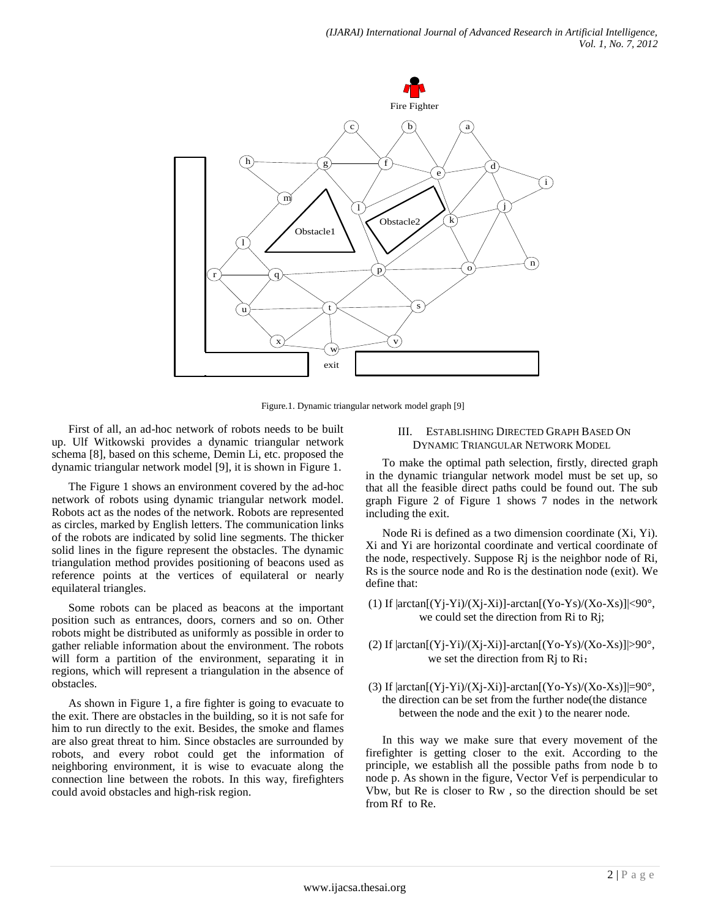

Figure.1. Dynamic triangular network model graph [9]

First of all, an ad-hoc network of robots needs to be built up. Ulf Witkowski provides a dynamic triangular network schema [8], based on this scheme, Demin Li, etc. proposed the dynamic triangular network model [9], it is shown in Figure 1.

The Figure 1 shows an environment covered by the ad-hoc network of robots using dynamic triangular network model. Robots act as the nodes of the network. Robots are represented as circles, marked by English letters. The communication links of the robots are indicated by solid line segments. The thicker solid lines in the figure represent the obstacles. The dynamic triangulation method provides positioning of beacons used as reference points at the vertices of equilateral or nearly equilateral triangles.

Some robots can be placed as beacons at the important position such as entrances, doors, corners and so on. Other robots might be distributed as uniformly as possible in order to gather reliable information about the environment. The robots will form a partition of the environment, separating it in regions, which will represent a triangulation in the absence of obstacles.

As shown in Figure 1, a fire fighter is going to evacuate to the exit. There are obstacles in the building, so it is not safe for him to run directly to the exit. Besides, the smoke and flames are also great threat to him. Since obstacles are surrounded by robots, and every robot could get the information of neighboring environment, it is wise to evacuate along the connection line between the robots. In this way, firefighters could avoid obstacles and high-risk region.

#### III. ESTABLISHING DIRECTED GRAPH BASED ON DYNAMIC TRIANGULAR NETWORK MODEL

To make the optimal path selection, firstly, directed graph in the dynamic triangular network model must be set up, so that all the feasible direct paths could be found out. The sub graph Figure 2 of Figure 1 shows 7 nodes in the network including the exit.

Node Ri is defined as a two dimension coordinate (Xi, Yi). Xi and Yi are horizontal coordinate and vertical coordinate of the node, respectively. Suppose Rj is the neighbor node of Ri, Rs is the source node and Ro is the destination node (exit). We define that:

- (1) If  $|arctan[(Yj-Yi)/(Xj-Xi)]$ - $arctan[(Yo-Ys)/(Xo-Xs)]$  <90°, we could set the direction from Ri to Rj;
- (2) If  $|arctan[(Yj-Yi)/(Xj-Xi)]$ - $arctan[(Yo-Ys)/(Xo-Xs)]$  > 90°, we set the direction from Rj to Ri;
- (3) If  $|arctan[(Yj-Yi)/(Xj-Xi)]$ - $arctan[(Yo-Ys)/(Xo-Xs)]$  = 90°, the direction can be set from the further node(the distance between the node and the exit ) to the nearer node.

In this way we make sure that every movement of the firefighter is getting closer to the exit. According to the principle, we establish all the possible paths from node b to node p. As shown in the figure, Vector Vef is perpendicular to Vbw, but Re is closer to Rw , so the direction should be set from Rf to Re.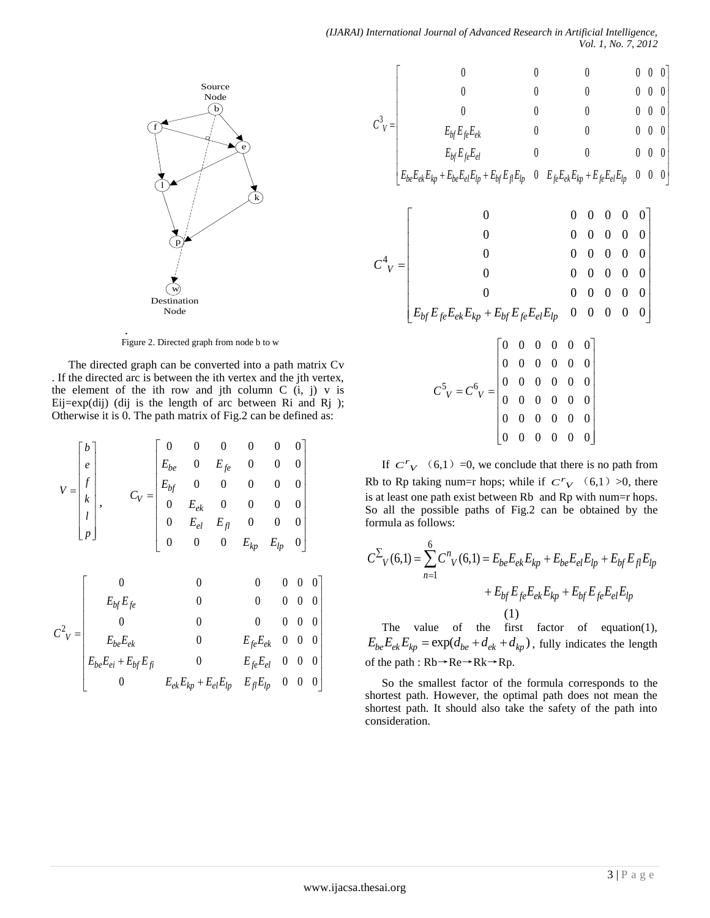

Figure 2. Directed graph from node b to w

.

The directed graph can be converted into a path matrix Cv . If the directed arc is between the ith vertex and the jth vertex, the element of the ith row and jth column  $C$  (i, j) v is Eij= $exp(di)$  (dij is the length of arc between Ri and Rj ); Otherwise it is 0. The path matrix of Fig.2 can be defined as:

$$
V = \begin{bmatrix} b \\ e \\ f \\ k \\ p \end{bmatrix}, \t C_V = \begin{bmatrix} 0 & 0 & 0 & 0 & 0 & 0 \\ E_{be} & 0 & E_{fe} & 0 & 0 & 0 \\ E_{bf} & 0 & 0 & 0 & 0 & 0 \\ 0 & E_{ek} & 0 & 0 & 0 & 0 \\ 0 & E_{el} & E_{fl} & 0 & 0 & 0 \\ 0 & 0 & 0 & E_{kp} & E_{lp} & 0 \end{bmatrix}
$$

$$
C_V^2 = \begin{bmatrix} 0 & 0 & 0 & 0 & 0 & 0 & 0 \\ E_{bf}E_{fe} & 0 & 0 & 0 & 0 & 0 \\ 0 & 0 & 0 & 0 & 0 & 0 & 0 \\ 0 & 0 & 0 & 0 & 0 & 0 & 0 \\ 0 & 0 & 0 & E_{fe}E_{ek} & 0 & 0 & 0 \\ E_{be}E_{ei} + E_{bf}E_{fi} & 0 & E_{fe}E_{el} & 0 & 0 & 0 \\ 0 & E_{ek}E_{kp} + E_{el}E_{lp} & E_{jl}E_{lp} & 0 & 0 & 0 \end{bmatrix}
$$

$$
C^{3}v = \begin{bmatrix}\n0 & 0 & 0 & 0 & 0 & 0 \\
0 & 0 & 0 & 0 & 0 & 0 \\
0 & 0 & 0 & 0 & 0 & 0 \\
E_{bf}E_{bf}E_{e}E_{ek} & 0 & 0 & 0 & 0 \\
E_{bf}E_{bf}E_{e}E_{el} & 0 & 0 & 0 & 0 \\
E_{bf}E_{bf}E_{e}E_{el}E_{lp} + E_{bf}E_{e}E_{el}E_{lp} + E_{bf}E_{bf}E_{el}E_{lp} & 0 & 0 \\
0 & 0 & 0 & 0 & 0 & 0 \\
0 & 0 & 0 & 0 & 0 & 0 \\
0 & 0 & 0 & 0 & 0 & 0 \\
0 & 0 & 0 & 0 & 0 & 0 \\
0 & 0 & 0 & 0 & 0 & 0 \\
0 & 0 & 0 & 0 & 0 & 0 \\
0 & 0 & 0 & 0 & 0 & 0 \\
0 & 0 & 0 & 0 & 0 & 0 \\
0 & 0 & 0 & 0 & 0 & 0 \\
0 & 0 & 0 & 0 & 0 & 0 \\
0 & 0 & 0 & 0 & 0 & 0 \\
0 & 0 & 0 & 0 & 0 & 0 \\
0 & 0 & 0 & 0 & 0 & 0 \\
0 & 0 & 0 & 0 & 0 & 0 \\
0 & 0 & 0 & 0 & 0 & 0 \\
0 & 0 & 0 & 0 & 0 & 0 \\
0 & 0 & 0 & 0 & 0 & 0 \\
0 & 0 & 0 & 0 & 0 & 0\n\end{bmatrix}
$$

If  $C^{r}$ <sub>V</sub> (6,1) =0, we conclude that there is no path from Rb to Rp taking num=r hops; while if  $C^{r}$ <sub>V</sub> (6,1) >0, there is at least one path exist between Rb and Rp with num=r hops. So all the possible paths of Fig.2 can be obtained by the formula as follows:

$$
C^{\sum}{}_{V}(6,1) = \sum_{n=1}^{6} C^{n}{}_{V}(6,1) = E_{be}E_{ek}E_{kp} + E_{be}E_{el}E_{lp} + E_{bf}E_{fl}E_{lp}
$$

$$
+ E_{bf}E_{fe}E_{ek}E_{kp} + E_{bf}E_{fe}E_{el}E_{lp}
$$

$$
(1)
$$

The value of the first factor of equation(1), The value of the first factor of equation(1),<br> $E_{be}E_{ek}E_{kp} = \exp(d_{be} + d_{ek} + d_{kp})$ , fully indicates the length of the path : Rb→Re→Rk→Rp.

So the smallest factor of the formula corresponds to the shortest path. However, the optimal path does not mean the shortest path. It should also take the safety of the path into consideration.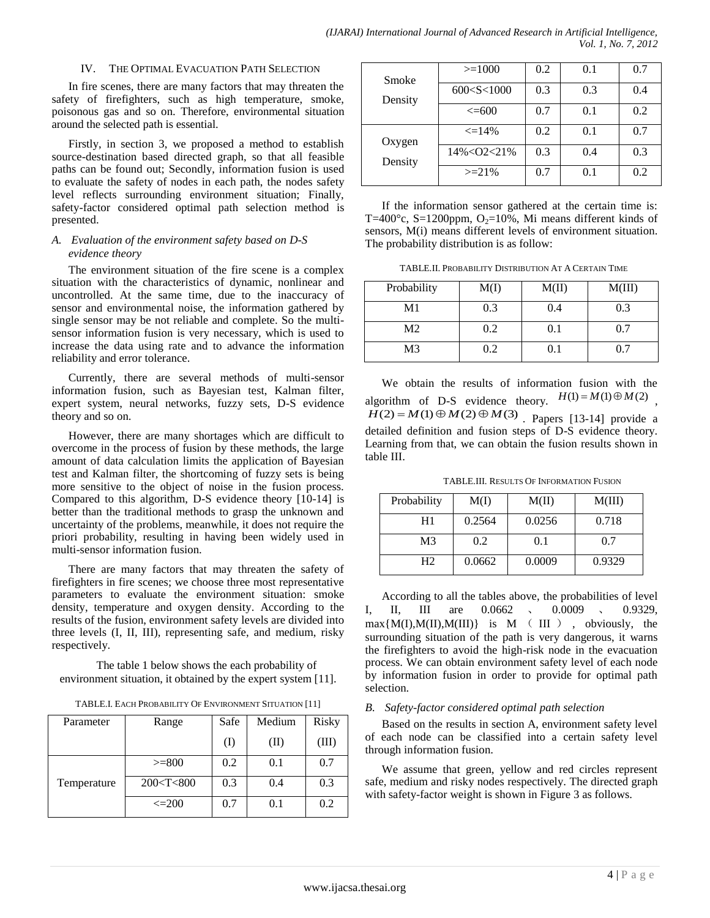#### IV. THE OPTIMAL EVACUATION PATH SELECTION

In fire scenes, there are many factors that may threaten the safety of firefighters, such as high temperature, smoke, poisonous gas and so on. Therefore, environmental situation around the selected path is essential.

Firstly, in section 3, we proposed a method to establish source-destination based directed graph, so that all feasible paths can be found out; Secondly, information fusion is used to evaluate the safety of nodes in each path, the nodes safety level reflects surrounding environment situation; Finally, safety-factor considered optimal path selection method is presented.

#### *A. Evaluation of the environment safety based on D-S evidence theory*

The environment situation of the fire scene is a complex situation with the characteristics of dynamic, nonlinear and uncontrolled. At the same time, due to the inaccuracy of sensor and environmental noise, the information gathered by single sensor may be not reliable and complete. So the multisensor information fusion is very necessary, which is used to increase the data using rate and to advance the information reliability and error tolerance.

Currently, there are several methods of multi-sensor information fusion, such as Bayesian test, Kalman filter, expert system, neural networks, fuzzy sets, D-S evidence theory and so on.

However, there are many shortages which are difficult to overcome in the process of fusion by these methods, the large amount of data calculation limits the application of Bayesian test and Kalman filter, the shortcoming of fuzzy sets is being more sensitive to the object of noise in the fusion process. Compared to this algorithm, D-S evidence theory [10-14] is better than the traditional methods to grasp the unknown and uncertainty of the problems, meanwhile, it does not require the priori probability, resulting in having been widely used in multi-sensor information fusion.

There are many factors that may threaten the safety of firefighters in fire scenes; we choose three most representative parameters to evaluate the environment situation: smoke density, temperature and oxygen density. According to the results of the fusion, environment safety levels are divided into three levels (I, II, III), representing safe, and medium, risky respectively.

The table 1 below shows the each probability of environment situation, it obtained by the expert system [11].

TABLE.I. EACH PROBABILITY OF ENVIRONMENT SITUATION [11]

| Parameter   | Range         | Safe      | Medium    | <b>Risky</b> |
|-------------|---------------|-----------|-----------|--------------|
|             |               | $\rm (I)$ | (II)      | (III)        |
|             | $>= 800$      | 0.2       | 0.1       | 0.7          |
| Temperature | 200 < T < 800 | 0.3       | 0.4       | 0.3          |
|             | $\leq$ 200    | 0.7       | $\rm 0.1$ | 0.2          |

| Smoke   | $>=1000$       | 0.2 | 0.1 | 0.7 |
|---------|----------------|-----|-----|-----|
| Density | 600 < S < 1000 | 0.3 | 0.3 | 0.4 |
|         | $\leq 600$     | 0.7 | 0.1 | 0.2 |
| Oxygen  | $\leq$ = 14%   | 0.2 | 0.1 | 0.7 |
| Density | 14%<02<21%     | 0.3 | 0.4 | 0.3 |
|         | $>=21\%$       | 0.7 | O 1 | 0.2 |

If the information sensor gathered at the certain time is: T=400 $^{\circ}$ c, S=1200ppm, O<sub>2</sub>=10%, Mi means different kinds of sensors, M(i) means different levels of environment situation. The probability distribution is as follow:

TABLE.II. PROBABILITY DISTRIBUTION AT A CERTAIN TIME

| Probability    | M(I) | M(II)     | M(III) |
|----------------|------|-----------|--------|
| M <sub>1</sub> | 0.3  | 0.4       | 0.3    |
| M <sub>2</sub> | 0.2  | $\rm 0.1$ | 0.7    |
| M <sub>3</sub> | 0.2  | 0.1       |        |

We obtain the results of information fusion with the algorithm of D-S evidence theory.  $H(1) = M(1) \oplus M(2)$ ,  $H(2) = M(1) \oplus M(2) \oplus M(3)$ . Papers [13-14] provide a detailed definition and fusion steps of D-S evidence theory. Learning from that, we can obtain the fusion results shown in table III.

TABLE.III. RESULTS OF INFORMATION FUSION

| Probability    | M(I)   | M(II)  | M(III) |
|----------------|--------|--------|--------|
| H1             | 0.2564 | 0.0256 | 0.718  |
| M3             | 0.2    | 0.1    | 0.7    |
| H <sub>2</sub> | 0.0662 | 0.0009 | 0.9329 |

According to all the tables above, the probabilities of level I, II, III are 0.0662 , 0.0009 , 0.9329,  $max{M(I), M(II), M(III)}$  is  $M (III)$ , obviously, the surrounding situation of the path is very dangerous, it warns the firefighters to avoid the high-risk node in the evacuation process. We can obtain environment safety level of each node by information fusion in order to provide for optimal path selection.

#### *B. Safety-factor considered optimal path selection*

Based on the results in section A, environment safety level of each node can be classified into a certain safety level through information fusion.

We assume that green, yellow and red circles represent safe, medium and risky nodes respectively. The directed graph with safety-factor weight is shown in Figure 3 as follows.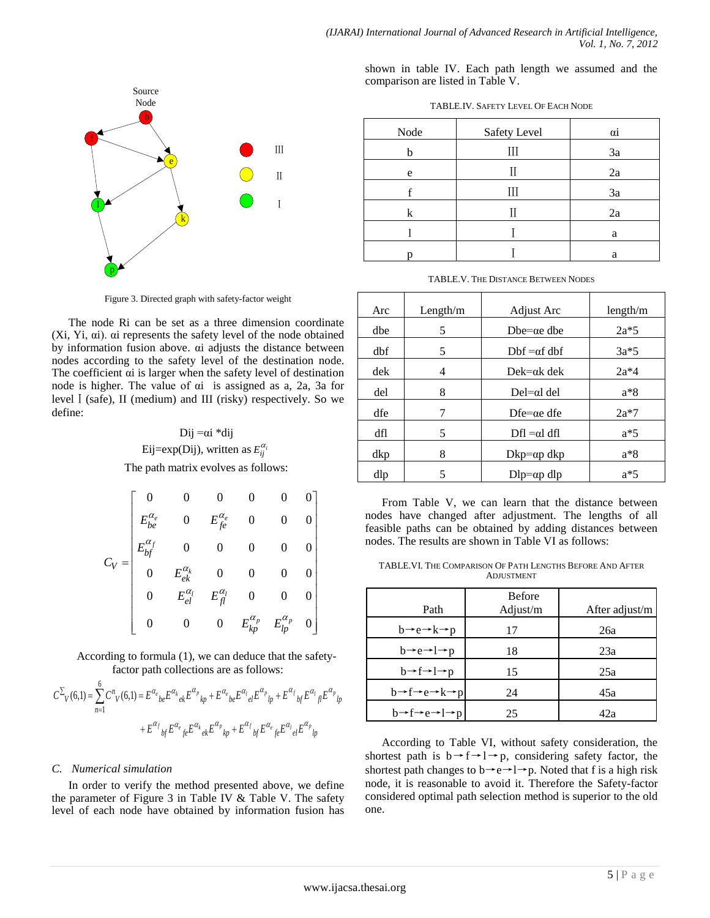

Figure 3. Directed graph with safety-factor weight

The node Ri can be set as a three dimension coordinate (Xi, Yi, αi). αi represents the safety level of the node obtained by information fusion above. αi adjusts the distance between nodes according to the safety level of the destination node. The coefficient αi is larger when the safety level of destination node is higher. The value of αi is assigned as a, 2a, 3a for levelⅠ(safe), II (medium) and III (risky) respectively. So we define:

# Dij  $=$ αi \*dij Eij=exp(Dij), written as  $E_{ij}^{\alpha_i}$ The path matrix evolves as follows:

|                                                                      |  | Figure 3. Directed graph with safety-factor weight                                                                                                                                                                                                                                                                       |                 |  |  |                                                                                                                                                                                                    |                     |
|----------------------------------------------------------------------|--|--------------------------------------------------------------------------------------------------------------------------------------------------------------------------------------------------------------------------------------------------------------------------------------------------------------------------|-----------------|--|--|----------------------------------------------------------------------------------------------------------------------------------------------------------------------------------------------------|---------------------|
|                                                                      |  |                                                                                                                                                                                                                                                                                                                          |                 |  |  | de Ri can be set as a three dimension coordinate                                                                                                                                                   | Arc                 |
|                                                                      |  |                                                                                                                                                                                                                                                                                                                          |                 |  |  | . ai represents the safety level of the node obtained<br>tion fusion above. ai adjusts the distance between                                                                                        | dbe                 |
|                                                                      |  |                                                                                                                                                                                                                                                                                                                          |                 |  |  | ording to the safety level of the destination node.                                                                                                                                                | dbf                 |
|                                                                      |  |                                                                                                                                                                                                                                                                                                                          |                 |  |  | existent ai is larger when the safety level of destination<br>gher. The value of $\alpha i$ is assigned as a, 2a, 3a for                                                                           | dek<br>del          |
|                                                                      |  |                                                                                                                                                                                                                                                                                                                          |                 |  |  | e), II (medium) and III (risky) respectively. So we                                                                                                                                                | dfe                 |
|                                                                      |  |                                                                                                                                                                                                                                                                                                                          | Dij $=$ ai *dij |  |  |                                                                                                                                                                                                    | dfl                 |
|                                                                      |  | Eij=exp(Dij), written as $E_{ij}^{\alpha_i}$                                                                                                                                                                                                                                                                             |                 |  |  |                                                                                                                                                                                                    | dkp                 |
|                                                                      |  | The path matrix evolves as follows:                                                                                                                                                                                                                                                                                      |                 |  |  |                                                                                                                                                                                                    | dlp                 |
|                                                                      |  |                                                                                                                                                                                                                                                                                                                          |                 |  |  |                                                                                                                                                                                                    |                     |
|                                                                      |  |                                                                                                                                                                                                                                                                                                                          |                 |  |  |                                                                                                                                                                                                    | Fror<br>nodes l     |
|                                                                      |  |                                                                                                                                                                                                                                                                                                                          |                 |  |  |                                                                                                                                                                                                    | feasible            |
|                                                                      |  |                                                                                                                                                                                                                                                                                                                          |                 |  |  |                                                                                                                                                                                                    | nodes. 7            |
|                                                                      |  |                                                                                                                                                                                                                                                                                                                          |                 |  |  |                                                                                                                                                                                                    | <b>TABL</b>         |
|                                                                      |  |                                                                                                                                                                                                                                                                                                                          |                 |  |  |                                                                                                                                                                                                    |                     |
|                                                                      |  | $C_V = \begin{bmatrix} 0 & 0 & 0 & 0 & 0 & 0 \\ E_{be}^{\alpha_e} & 0 & E_{fe}^{\alpha_e} & 0 & 0 & 0 \\ E_{bf}^{\alpha_f} & 0 & 0 & 0 & 0 & 0 \\ 0 & E_{ek}^{\alpha_k} & 0 & 0 & 0 & 0 \\ 0 & E_{el}^{\alpha_l} & E_{fl}^{\alpha_l} & 0 & 0 & 0 \\ 0 & 0 & 0 & E_{kp}^{\alpha_p} & E_{lp}^{\alpha_p} & 0 \end{bmatrix}$ |                 |  |  |                                                                                                                                                                                                    |                     |
|                                                                      |  |                                                                                                                                                                                                                                                                                                                          |                 |  |  |                                                                                                                                                                                                    |                     |
|                                                                      |  | factor path collections are as follows:                                                                                                                                                                                                                                                                                  |                 |  |  | ding to formula (1), we can deduce that the safety-                                                                                                                                                |                     |
|                                                                      |  |                                                                                                                                                                                                                                                                                                                          |                 |  |  | ${C^n}_V(6,1) = {E^{\alpha_e}}_{be}{E^{\alpha_k}}_{ek}{E^{\alpha_p}}_{kp} + {E^{\alpha_e}}_{be}{E^{\alpha_l}}_{el}{E^{\alpha_p}}_{lp} + {E^{\alpha_f}}_{bf}{E^{\alpha_l}}_{fb}{E^{\alpha_p}}_{lp}$ | $b-$                |
|                                                                      |  |                                                                                                                                                                                                                                                                                                                          |                 |  |  |                                                                                                                                                                                                    | $b -$               |
|                                                                      |  | $+ E^{\alpha_f}_{\ \ b f} E^{\alpha_e}_{\ \ fe} E^{\alpha_k}_{\ \ e k} E^{\alpha_p}_{\ \ k p} + E^{\alpha_f}_{\ \ b f} E^{\alpha_e}_{\ \ fe} E^{\alpha_l}_{\ \ e l} E^{\alpha_p}_{\ \ l p}$                                                                                                                              |                 |  |  |                                                                                                                                                                                                    | Acc                 |
|                                                                      |  |                                                                                                                                                                                                                                                                                                                          |                 |  |  |                                                                                                                                                                                                    | shortest            |
| ical simulation<br>r to verify the method presented above, we define |  |                                                                                                                                                                                                                                                                                                                          |                 |  |  |                                                                                                                                                                                                    |                     |
|                                                                      |  |                                                                                                                                                                                                                                                                                                                          |                 |  |  | ter of Figure 3 in Table IV & Table V. The safety                                                                                                                                                  | node, it<br>conside |
|                                                                      |  |                                                                                                                                                                                                                                                                                                                          |                 |  |  | ch node have obtained by information fusion has                                                                                                                                                    | one.                |
|                                                                      |  |                                                                                                                                                                                                                                                                                                                          |                 |  |  |                                                                                                                                                                                                    |                     |
|                                                                      |  |                                                                                                                                                                                                                                                                                                                          |                 |  |  |                                                                                                                                                                                                    |                     |

According to formula (1), we can deduce that the safetyfactor path collections are as follows:

$$
C^{\sum}{}_{V}(6,1) = \sum_{n=1}^{6} C^{n}{}_{V}(6,1) = E^{\alpha}{}_{e}{}_{be} E^{\alpha}{}_{e}{}_{k} E^{\alpha}{}_{p}{}_{p} + E^{\alpha}{}_{e}{}_{be} E^{\alpha}{}_{l}{}_{e} E^{\alpha}{}_{p}{}_{p} + E^{\alpha}{}_{f}{}_{b} E^{\alpha}{}_{p}{}_{p}
$$
\n
$$
+ E^{\alpha}{}_{b}{}_{f} E^{\alpha}{}_{e}{}_{e} E^{\alpha}{}_{e}{}_{k} E^{\alpha}{}_{p}{}_{p} + E^{\alpha}{}_{f}{}_{b}{}_{f} E^{\alpha}{}_{e}{}_{f}{}_{e} E^{\alpha}{}_{p}{}_{p}
$$
\n
$$
+ E^{\alpha}{}_{b}{}_{f} E^{\alpha}{}_{e}{}_{e} E^{\alpha}{}_{e}{}_{k} E^{\alpha}{}_{p}{}_{p} + E^{\alpha}{}_{f}{}_{b}{}_{f} E^{\alpha}{}_{e}{}_{f}{}_{e} E^{\alpha}{}_{p}{}_{p}
$$
\n
$$
\underbrace{b \rightarrow f \rightarrow e \rightarrow l \rightarrow l \rightarrow m}_{}
$$

## *C. Numerical simulation*

In order to verify the method presented above, we define the parameter of Figure 3 in Table IV & Table V. The safety level of each node have obtained by information fusion has

|                                   |  |  |  | shown in table IV. Each path length we assumed and the |  |
|-----------------------------------|--|--|--|--------------------------------------------------------|--|
| comparison are listed in Table V. |  |  |  |                                                        |  |

| Node | Safety Level | $\alpha i$ |
|------|--------------|------------|
| h    | Ш            | 3a         |
| e    |              | 2a         |
|      |              | 3a         |
| k    |              | 2a         |
|      |              | a          |
|      |              | a          |

TABLE.V. THE DISTANCE BETWEEN NODES

|                                                                                                                                                                                                                                    |                     |                                                                                                                                                                                           |                       |                |                                                                         |                                                    |                                                                                |                                                             |                     | (IJARAI) International Journal of Advanced Research in Artificial Intelligence,                                                                                                                         |                       |
|------------------------------------------------------------------------------------------------------------------------------------------------------------------------------------------------------------------------------------|---------------------|-------------------------------------------------------------------------------------------------------------------------------------------------------------------------------------------|-----------------------|----------------|-------------------------------------------------------------------------|----------------------------------------------------|--------------------------------------------------------------------------------|-------------------------------------------------------------|---------------------|---------------------------------------------------------------------------------------------------------------------------------------------------------------------------------------------------------|-----------------------|
|                                                                                                                                                                                                                                    |                     |                                                                                                                                                                                           |                       |                |                                                                         |                                                    |                                                                                |                                                             |                     |                                                                                                                                                                                                         | Vol. 1, No. 7, 2012   |
|                                                                                                                                                                                                                                    |                     |                                                                                                                                                                                           |                       |                |                                                                         |                                                    |                                                                                |                                                             |                     | shown in table IV. Each path length we assumed and the                                                                                                                                                  |                       |
|                                                                                                                                                                                                                                    | Source<br>Node      |                                                                                                                                                                                           |                       |                |                                                                         |                                                    |                                                                                | comparison are listed in Table V.                           |                     |                                                                                                                                                                                                         |                       |
|                                                                                                                                                                                                                                    |                     |                                                                                                                                                                                           |                       |                |                                                                         |                                                    |                                                                                |                                                             |                     | TABLE.IV. SAFETY LEVEL OF EACH NODE                                                                                                                                                                     |                       |
|                                                                                                                                                                                                                                    |                     |                                                                                                                                                                                           |                       |                |                                                                         |                                                    |                                                                                | Node<br>h                                                   |                     | <b>Safety Level</b><br>$\mathop{\rm III}$                                                                                                                                                               | $\alpha i$<br>3a      |
|                                                                                                                                                                                                                                    |                     |                                                                                                                                                                                           |                       |                |                                                                         |                                                    |                                                                                | e                                                           |                     | $\mathbf{I}$                                                                                                                                                                                            | 2a                    |
|                                                                                                                                                                                                                                    |                     |                                                                                                                                                                                           |                       |                |                                                                         |                                                    |                                                                                |                                                             |                     | $\mathop{\rm III}$                                                                                                                                                                                      | 3a                    |
|                                                                                                                                                                                                                                    |                     |                                                                                                                                                                                           |                       |                |                                                                         |                                                    |                                                                                |                                                             |                     | $\mathbf{I}$                                                                                                                                                                                            | 2a                    |
|                                                                                                                                                                                                                                    |                     |                                                                                                                                                                                           |                       |                |                                                                         |                                                    |                                                                                |                                                             |                     |                                                                                                                                                                                                         | a                     |
| $\mathbf{p}$                                                                                                                                                                                                                       |                     |                                                                                                                                                                                           |                       |                |                                                                         |                                                    |                                                                                | $\mathbf n$                                                 |                     |                                                                                                                                                                                                         | a                     |
|                                                                                                                                                                                                                                    |                     | Figure 3. Directed graph with safety-factor weight                                                                                                                                        |                       |                |                                                                         |                                                    |                                                                                |                                                             |                     | TABLE.V. THE DISTANCE BETWEEN NODES                                                                                                                                                                     |                       |
|                                                                                                                                                                                                                                    |                     |                                                                                                                                                                                           |                       |                |                                                                         | node Ri can be set as a three dimension coordinate | Arc                                                                            |                                                             | Length/ $m$         | <b>Adjust Arc</b>                                                                                                                                                                                       | length/m              |
| ai). ai represents the safety level of the node obtained                                                                                                                                                                           |                     |                                                                                                                                                                                           |                       |                |                                                                         |                                                    | dbe                                                                            |                                                             | $5\overline{)}$     | Dbe= $\alpha$ e dbe                                                                                                                                                                                     | $2a*5$                |
| mation fusion above. ai adjusts the distance between<br>ccording to the safety level of the destination node.                                                                                                                      |                     |                                                                                                                                                                                           |                       |                |                                                                         |                                                    | dbf                                                                            |                                                             | $5\overline{)}$     | $Dbf = \alpha f dbf$                                                                                                                                                                                    | $3a*5$                |
| fficient ai is larger when the safety level of destination<br>higher. The value of $\alpha i$ is assigned as a, 2a, 3a for                                                                                                         |                     |                                                                                                                                                                                           |                       |                |                                                                         |                                                    | dek<br>$\ensuremath{\mathbf{d}}\ensuremath{\mathbf{e}}\ensuremath{\mathbf{l}}$ |                                                             | $\overline{4}$<br>8 | $Dek = \alpha k$ dek<br>$DeI = \alpha I$ del                                                                                                                                                            | $2a*4$<br>$a*8$       |
| (safe), II (medium) and III (risky) respectively. So we                                                                                                                                                                            |                     |                                                                                                                                                                                           |                       |                |                                                                         |                                                    | dfe                                                                            |                                                             | $\overline{7}$      | $Df$ e= $\alpha$ e dfe                                                                                                                                                                                  | $2a*7$                |
|                                                                                                                                                                                                                                    |                     |                                                                                                                                                                                           | Dij = $\alpha i *dij$ |                |                                                                         |                                                    | dfl                                                                            |                                                             | $5\overline{)}$     | $Df1 = \alpha l df1$                                                                                                                                                                                    | $a*5$                 |
|                                                                                                                                                                                                                                    |                     | Eij=exp(Dij), written as $E_{ii}^{\alpha_i}$                                                                                                                                              |                       |                |                                                                         |                                                    | dkp                                                                            |                                                             | 8                   | $Dkp = \alpha p \, dkp$                                                                                                                                                                                 | $a*8$                 |
|                                                                                                                                                                                                                                    |                     | The path matrix evolves as follows:                                                                                                                                                       |                       |                |                                                                         |                                                    | $d$ l $p$                                                                      |                                                             | 5                   | $Dlp = \alpha p \, \text{dlp}$                                                                                                                                                                          | $a*5$                 |
|                                                                                                                                                                                                                                    | $\theta$            |                                                                                                                                                                                           |                       |                |                                                                         | $\overline{0}$                                     |                                                                                |                                                             |                     | From Table V, we can learn that the distance between                                                                                                                                                    |                       |
|                                                                                                                                                                                                                                    | $E_{be}^{\alpha_e}$ | $\overline{0}$                                                                                                                                                                            | $E^{\alpha_e}_{fe}$   | $\overline{0}$ | $\overline{0}$                                                          | $\theta$                                           |                                                                                |                                                             |                     | nodes have changed after adjustment. The lengths of all<br>feasible paths can be obtained by adding distances between                                                                                   |                       |
|                                                                                                                                                                                                                                    | $E_{bf}^{\alpha}$   | $\overline{0}$                                                                                                                                                                            |                       |                |                                                                         |                                                    |                                                                                |                                                             |                     | nodes. The results are shown in Table VI as follows:                                                                                                                                                    |                       |
| $C_V =$                                                                                                                                                                                                                            | $\boldsymbol{0}$    | $E_{ek}^{\alpha_k}$                                                                                                                                                                       |                       |                | $\Omega$                                                                | $\Omega$                                           |                                                                                |                                                             |                     | TABLE. VI. THE COMPARISON OF PATH LENGTHS BEFORE AND AFTER<br>ADJUSTMENT                                                                                                                                |                       |
|                                                                                                                                                                                                                                    |                     | $E_{el}^{\alpha_{l}}$                                                                                                                                                                     | $E_{fl}^{\alpha_l}$   |                |                                                                         | $\overline{0}$                                     |                                                                                |                                                             |                     | Before                                                                                                                                                                                                  |                       |
|                                                                                                                                                                                                                                    | $\overline{0}$      | $\overline{0}$                                                                                                                                                                            | $\overline{0}$        |                | $\left  E_{kp}^{\alpha_p} - E_{lp}^{\alpha_p} \right  \left. 0 \right $ |                                                    |                                                                                | Path<br>$b \rightarrow e \rightarrow k \rightarrow p$       |                     | Adjust/m<br>17                                                                                                                                                                                          | After adjust/m<br>26a |
|                                                                                                                                                                                                                                    |                     |                                                                                                                                                                                           |                       |                |                                                                         |                                                    |                                                                                | $b \rightarrow e \rightarrow l \rightarrow p$               |                     | 18                                                                                                                                                                                                      | 23a                   |
| cording to formula (1), we can deduce that the safety-                                                                                                                                                                             |                     | factor path collections are as follows:                                                                                                                                                   |                       |                |                                                                         |                                                    |                                                                                | $b \rightarrow f \rightarrow l \rightarrow p$               |                     | 15                                                                                                                                                                                                      | 25a                   |
| $=\sum\limits^{}C^{n}{}_{V}(6, l)=E^{\alpha_{e}}{}_{be}E^{\alpha_{k}}{}_{ek}E^{\alpha_{p}}{}_{kp}+E^{\alpha_{e}}{}_{be}E^{\alpha_{l}}{}_{el}E^{\alpha_{p}}{}_{lp}+E^{\alpha_{f}}{}_{bf}E^{\alpha_{l}}{}_{jl}E^{\alpha_{p}}{}_{lp}$ |                     |                                                                                                                                                                                           |                       |                |                                                                         |                                                    |                                                                                | $b \rightarrow f \rightarrow e \rightarrow k \rightarrow p$ |                     | 24                                                                                                                                                                                                      | 45a                   |
|                                                                                                                                                                                                                                    |                     | $+ E^{\alpha_f}_{\ \ b f} E^{\alpha_e}_{\ \ e} E^{\alpha_k}_{\ \ e k} E^{\alpha_p}_{\ \ k p} + E^{\alpha_f}_{\ \ b f} E^{\alpha_e}_{\ \ e} E^{\alpha_l}_{\ \ e l} E^{\alpha_p}_{\ \ l p}$ |                       |                |                                                                         |                                                    |                                                                                | $b \rightarrow f \rightarrow e \rightarrow l \rightarrow p$ |                     | 25                                                                                                                                                                                                      | 42a                   |
|                                                                                                                                                                                                                                    |                     |                                                                                                                                                                                           |                       |                |                                                                         |                                                    |                                                                                |                                                             |                     | According to Table VI, without safety consideration, the                                                                                                                                                |                       |
| nerical simulation                                                                                                                                                                                                                 |                     |                                                                                                                                                                                           |                       |                |                                                                         |                                                    |                                                                                |                                                             |                     | shortest path is $b \rightarrow f \rightarrow l \rightarrow p$ , considering safety factor, the<br>shortest path changes to $b \rightarrow e \rightarrow l \rightarrow p$ . Noted that f is a high risk |                       |
| rder to verify the method presented above, we define<br>meter of Figure 3 in Table IV & Table V. The safety                                                                                                                        |                     |                                                                                                                                                                                           |                       |                |                                                                         |                                                    |                                                                                |                                                             |                     | node, it is reasonable to avoid it. Therefore the Safety-factor<br>considered optimal path selection method is superior to the old                                                                      |                       |
| each node have obtained by information fusion has                                                                                                                                                                                  |                     |                                                                                                                                                                                           |                       |                |                                                                         |                                                    | one.                                                                           |                                                             |                     |                                                                                                                                                                                                         |                       |
|                                                                                                                                                                                                                                    |                     |                                                                                                                                                                                           |                       |                |                                                                         |                                                    |                                                                                |                                                             |                     |                                                                                                                                                                                                         |                       |
|                                                                                                                                                                                                                                    |                     |                                                                                                                                                                                           |                       |                |                                                                         |                                                    |                                                                                |                                                             |                     |                                                                                                                                                                                                         |                       |
|                                                                                                                                                                                                                                    |                     |                                                                                                                                                                                           |                       |                |                                                                         | www.ijacsa.thesai.org                              |                                                                                |                                                             |                     |                                                                                                                                                                                                         | $5 P \text{ a } g e$  |
|                                                                                                                                                                                                                                    |                     |                                                                                                                                                                                           |                       |                |                                                                         |                                                    |                                                                                |                                                             |                     |                                                                                                                                                                                                         |                       |

TABLE.VI. THE COMPARISON OF PATH LENGTHS BEFORE AND AFTER ADJUSTMENT

| Path                                                        | <b>Before</b><br>Adjust/m | After adjust/m |
|-------------------------------------------------------------|---------------------------|----------------|
| $b \rightarrow e \rightarrow k \rightarrow p$               | 17                        | 26a            |
| $b \rightarrow e \rightarrow l \rightarrow p$               | 18                        | 23a            |
| $b \rightarrow f \rightarrow l \rightarrow p$               | 15                        | 25a            |
| $b \rightarrow f \rightarrow e \rightarrow k \rightarrow p$ | 24                        | 45a            |
| $b \rightarrow f \rightarrow e \rightarrow l \rightarrow p$ | 25                        | 42a            |